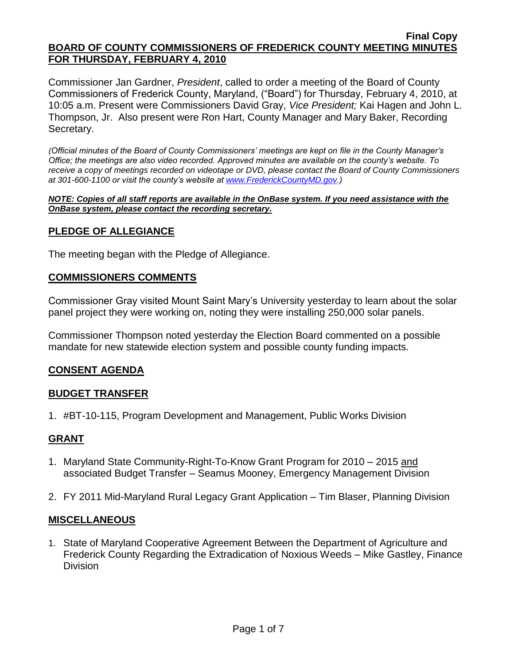Commissioner Jan Gardner, *President*, called to order a meeting of the Board of County Commissioners of Frederick County, Maryland, ("Board") for Thursday, February 4, 2010, at 10:05 a.m. Present were Commissioners David Gray, *Vice President;* Kai Hagen and John L. Thompson, Jr. Also present were Ron Hart, County Manager and Mary Baker, Recording Secretary.

*(Official minutes of the Board of County Commissioners' meetings are kept on file in the County Manager's Office; the meetings are also video recorded. Approved minutes are available on the county's website. To receive a copy of meetings recorded on videotape or DVD, please contact the Board of County Commissioners at 301-600-1100 or visit the county's website at [www.FrederickCountyMD.gov.](http://www.frederickcountymd.gov/))*

#### *NOTE: Copies of all staff reports are available in the OnBase system. If you need assistance with the OnBase system, please contact the recording secretary.*

# **PLEDGE OF ALLEGIANCE**

The meeting began with the Pledge of Allegiance.

#### **COMMISSIONERS COMMENTS**

Commissioner Gray visited Mount Saint Mary's University yesterday to learn about the solar panel project they were working on, noting they were installing 250,000 solar panels.

Commissioner Thompson noted yesterday the Election Board commented on a possible mandate for new statewide election system and possible county funding impacts.

## **CONSENT AGENDA**

## **BUDGET TRANSFER**

1. #BT-10-115, Program Development and Management, Public Works Division

## **GRANT**

- 1. Maryland State Community-Right-To-Know Grant Program for 2010 2015 and associated Budget Transfer – Seamus Mooney, Emergency Management Division
- 2. FY 2011 Mid-Maryland Rural Legacy Grant Application Tim Blaser, Planning Division

#### **MISCELLANEOUS**

1. State of Maryland Cooperative Agreement Between the Department of Agriculture and Frederick County Regarding the Extradication of Noxious Weeds – Mike Gastley, Finance **Division**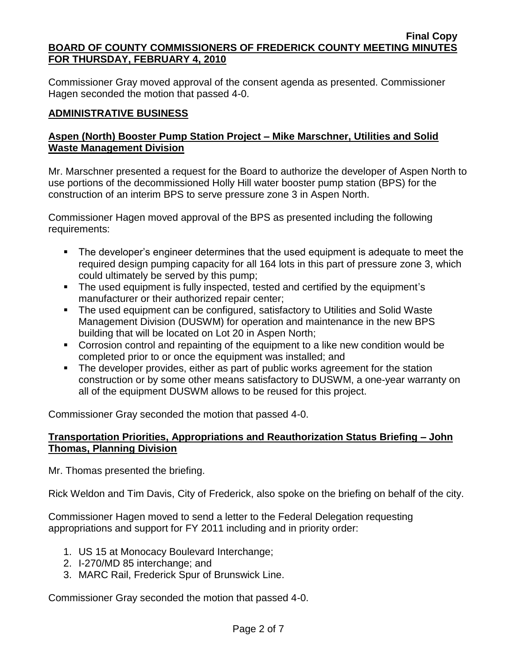Commissioner Gray moved approval of the consent agenda as presented. Commissioner Hagen seconded the motion that passed 4-0.

# **ADMINISTRATIVE BUSINESS**

# **Aspen (North) Booster Pump Station Project – Mike Marschner, Utilities and Solid Waste Management Division**

Mr. Marschner presented a request for the Board to authorize the developer of Aspen North to use portions of the decommissioned Holly Hill water booster pump station (BPS) for the construction of an interim BPS to serve pressure zone 3 in Aspen North.

Commissioner Hagen moved approval of the BPS as presented including the following requirements:

- The developer's engineer determines that the used equipment is adequate to meet the required design pumping capacity for all 164 lots in this part of pressure zone 3, which could ultimately be served by this pump;
- The used equipment is fully inspected, tested and certified by the equipment's manufacturer or their authorized repair center;
- The used equipment can be configured, satisfactory to Utilities and Solid Waste Management Division (DUSWM) for operation and maintenance in the new BPS building that will be located on Lot 20 in Aspen North;
- Corrosion control and repainting of the equipment to a like new condition would be completed prior to or once the equipment was installed; and
- The developer provides, either as part of public works agreement for the station construction or by some other means satisfactory to DUSWM, a one-year warranty on all of the equipment DUSWM allows to be reused for this project.

Commissioner Gray seconded the motion that passed 4-0.

# **Transportation Priorities, Appropriations and Reauthorization Status Briefing – John Thomas, Planning Division**

Mr. Thomas presented the briefing.

Rick Weldon and Tim Davis, City of Frederick, also spoke on the briefing on behalf of the city.

Commissioner Hagen moved to send a letter to the Federal Delegation requesting appropriations and support for FY 2011 including and in priority order:

- 1. US 15 at Monocacy Boulevard Interchange;
- 2. I-270/MD 85 interchange; and
- 3. MARC Rail, Frederick Spur of Brunswick Line.

Commissioner Gray seconded the motion that passed 4-0.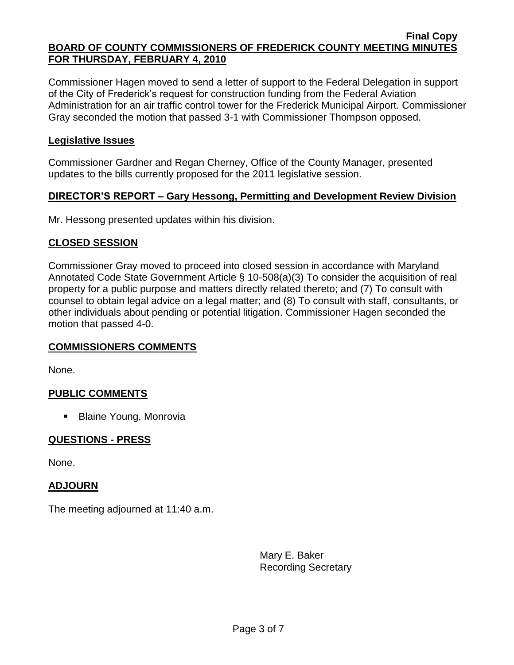Commissioner Hagen moved to send a letter of support to the Federal Delegation in support of the City of Frederick's request for construction funding from the Federal Aviation Administration for an air traffic control tower for the Frederick Municipal Airport. Commissioner Gray seconded the motion that passed 3-1 with Commissioner Thompson opposed.

# **Legislative Issues**

Commissioner Gardner and Regan Cherney, Office of the County Manager, presented updates to the bills currently proposed for the 2011 legislative session.

## **DIRECTOR'S REPORT – Gary Hessong, Permitting and Development Review Division**

Mr. Hessong presented updates within his division.

## **CLOSED SESSION**

Commissioner Gray moved to proceed into closed session in accordance with Maryland Annotated Code State Government Article § 10-508(a)(3) To consider the acquisition of real property for a public purpose and matters directly related thereto; and (7) To consult with counsel to obtain legal advice on a legal matter; and (8) To consult with staff, consultants, or other individuals about pending or potential litigation. Commissioner Hagen seconded the motion that passed 4-0.

## **COMMISSIONERS COMMENTS**

None.

## **PUBLIC COMMENTS**

■ Blaine Young, Monrovia

# **QUESTIONS - PRESS**

None.

## **ADJOURN**

The meeting adjourned at 11:40 a.m.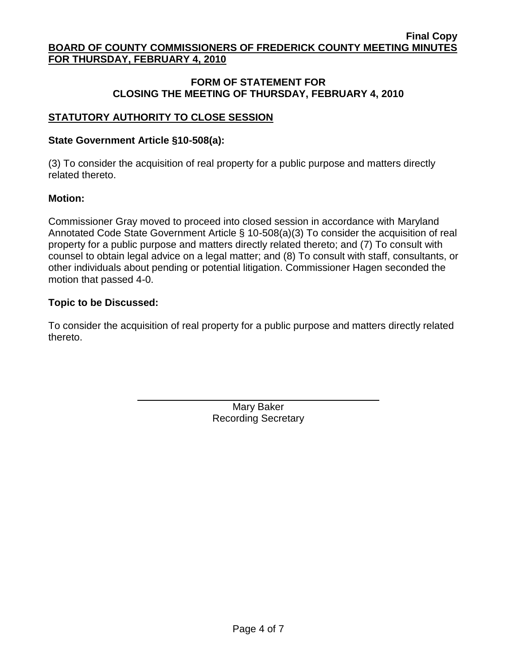# **FORM OF STATEMENT FOR CLOSING THE MEETING OF THURSDAY, FEBRUARY 4, 2010**

# **STATUTORY AUTHORITY TO CLOSE SESSION**

# **State Government Article §10-508(a):**

(3) To consider the acquisition of real property for a public purpose and matters directly related thereto.

# **Motion:**

Commissioner Gray moved to proceed into closed session in accordance with Maryland Annotated Code State Government Article § 10-508(a)(3) To consider the acquisition of real property for a public purpose and matters directly related thereto; and (7) To consult with counsel to obtain legal advice on a legal matter; and (8) To consult with staff, consultants, or other individuals about pending or potential litigation. Commissioner Hagen seconded the motion that passed 4-0.

# **Topic to be Discussed:**

To consider the acquisition of real property for a public purpose and matters directly related thereto.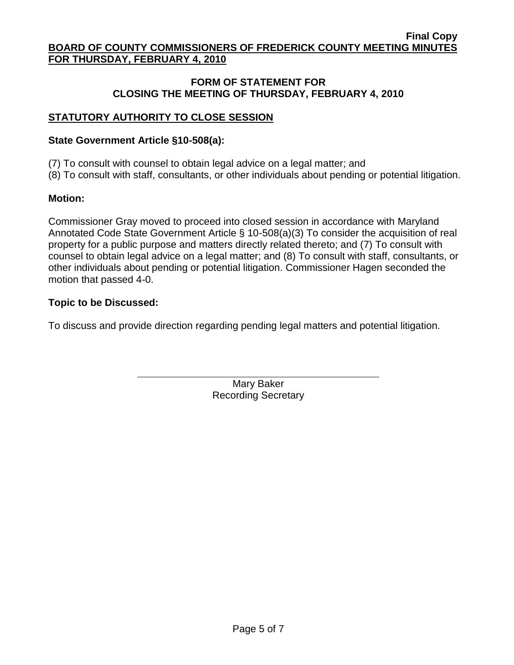# **FORM OF STATEMENT FOR CLOSING THE MEETING OF THURSDAY, FEBRUARY 4, 2010**

# **STATUTORY AUTHORITY TO CLOSE SESSION**

#### **State Government Article §10-508(a):**

(7) To consult with counsel to obtain legal advice on a legal matter; and

(8) To consult with staff, consultants, or other individuals about pending or potential litigation.

#### **Motion:**

Commissioner Gray moved to proceed into closed session in accordance with Maryland Annotated Code State Government Article § 10-508(a)(3) To consider the acquisition of real property for a public purpose and matters directly related thereto; and (7) To consult with counsel to obtain legal advice on a legal matter; and (8) To consult with staff, consultants, or other individuals about pending or potential litigation. Commissioner Hagen seconded the motion that passed 4-0.

#### **Topic to be Discussed:**

To discuss and provide direction regarding pending legal matters and potential litigation.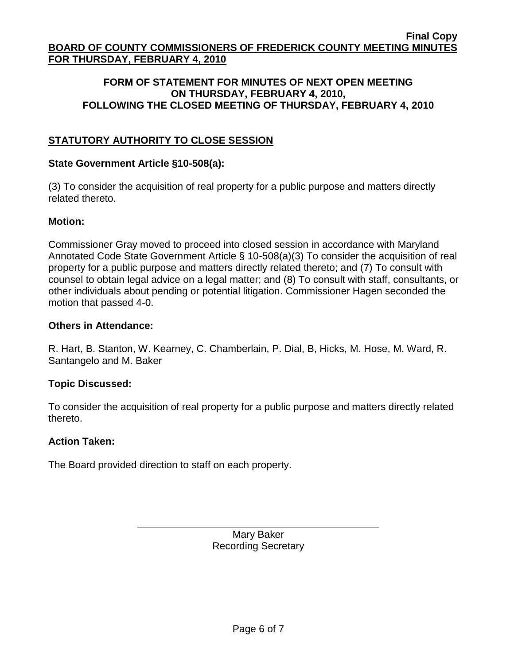# **FORM OF STATEMENT FOR MINUTES OF NEXT OPEN MEETING ON THURSDAY, FEBRUARY 4, 2010, FOLLOWING THE CLOSED MEETING OF THURSDAY, FEBRUARY 4, 2010**

# **STATUTORY AUTHORITY TO CLOSE SESSION**

# **State Government Article §10-508(a):**

(3) To consider the acquisition of real property for a public purpose and matters directly related thereto.

# **Motion:**

Commissioner Gray moved to proceed into closed session in accordance with Maryland Annotated Code State Government Article § 10-508(a)(3) To consider the acquisition of real property for a public purpose and matters directly related thereto; and (7) To consult with counsel to obtain legal advice on a legal matter; and (8) To consult with staff, consultants, or other individuals about pending or potential litigation. Commissioner Hagen seconded the motion that passed 4-0.

## **Others in Attendance:**

R. Hart, B. Stanton, W. Kearney, C. Chamberlain, P. Dial, B, Hicks, M. Hose, M. Ward, R. Santangelo and M. Baker

# **Topic Discussed:**

To consider the acquisition of real property for a public purpose and matters directly related thereto.

## **Action Taken:**

The Board provided direction to staff on each property.